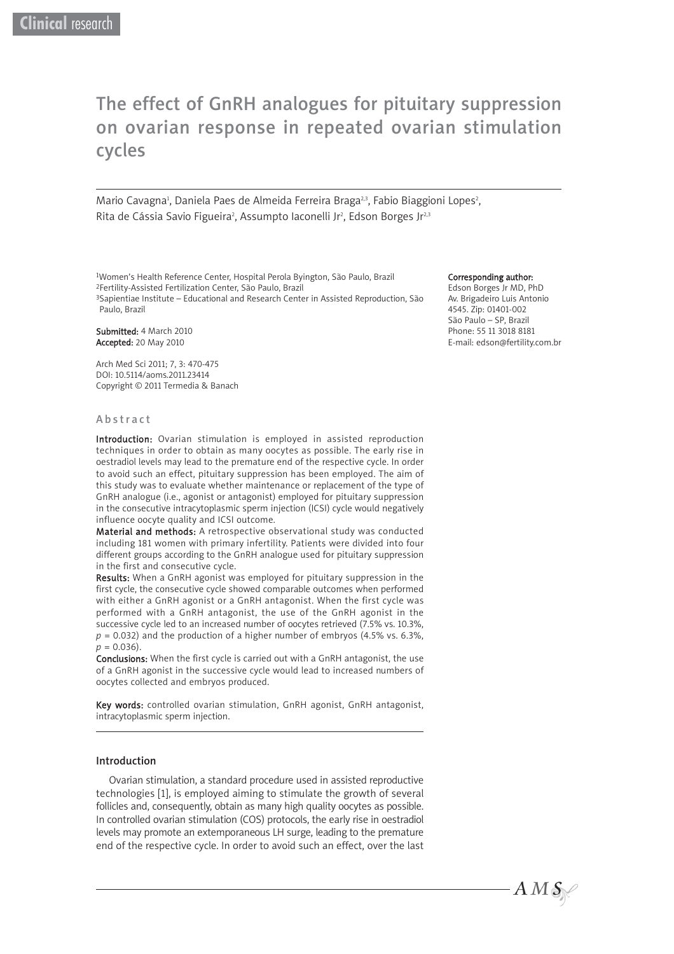# The effect of GnRH analogues for pituitary suppression on ovarian response in repeated ovarian stimulation cycles

Mario Cavagna<sup>1</sup>, Daniela Paes de Almeida Ferreira Braga<sup>2,3</sup>, Fabio Biaggioni Lopes<sup>2</sup>, Rita de Cássia Savio Figueira<sup>2</sup>, Assumpto Iaconelli Jr<sup>2</sup>, Edson Borges Jr<sup>2,3</sup>

<sup>1</sup>Women's Health Reference Center, Hospital Perola Byington, São Paulo, Brazil<br><sup>2</sup>Fertility-Assisted Fertilization Center, São Paulo, Brazil<br><sup>3</sup>Sapientiae Institute – Educational and Research Center in Assisted Reproducti Paulo, Brazil

Submitted: 4 March 2010 Accepted: 20 May 2010

Arch Med Sci 2011; 7, 3: 470-475 DOI: 10.5114/aoms.2011.23414 Copyright © 2011 Termedia & Banach

#### Abstract

Introduction: Ovarian stimulation is employed in assisted reproduction techniques in order to obtain as many oocytes as possible. The early rise in oestradiol levels may lead to the premature end of the respective cycle. In order to avoid such an effect, pituitary suppression has been employed. The aim of this study was to evaluate whether maintenance or replacement of the type of GnRH analogue (i.e., agonist or antagonist) employed for pituitary suppression in the consecutive intracytoplasmic sperm injection (ICSI) cycle would negatively influence oocyte quality and ICSI outcome.

Material and methods: A retrospective observational study was conducted including 181 women with primary infertility. Patients were divided into four different groups according to the GnRH analogue used for pituitary suppression in the first and consecutive cycle.

Results: When a GnRH agonist was employed for pituitary suppression in the first cycle, the consecutive cycle showed comparable outcomes when performed with either a GnRH agonist or a GnRH antagonist. When the first cycle was performed with a GnRH antagonist, the use of the GnRH agonist in the successive cycle led to an increased number of oocytes retrieved (7.5% vs. 10.3%,  $p = 0.032$ ) and the production of a higher number of embryos (4.5% vs. 6.3%, *p* = 0.036).

Conclusions: When the first cycle is carried out with a GnRH antagonist, the use of a GnRH agonist in the successive cycle would lead to increased numbers of oocytes collected and embryos produced.

Key words: controlled ovarian stimulation, GnRH agonist, GnRH antagonist, intracytoplasmic sperm injection.

## Introduction

Ovarian stimulation, a standard procedure used in assisted reproductive technologies [1], is employed aiming to stimulate the growth of several follicles and, consequently, obtain as many high quality oocytes as possible. In controlled ovarian stimulation (COS) protocols, the early rise in oestradiol levels may promote an extemporaneous LH surge, leading to the premature end of the respective cycle. In order to avoid such an effect, over the last

#### Corresponding author:

Edson Borges Jr MD, PhD Av. Brigadeiro Luis Antonio 4545. Zip: 01401-002 São Paulo – SP, Brazil Phone: 55 11 3018 8181 E-mail: edson@fertility.com.br

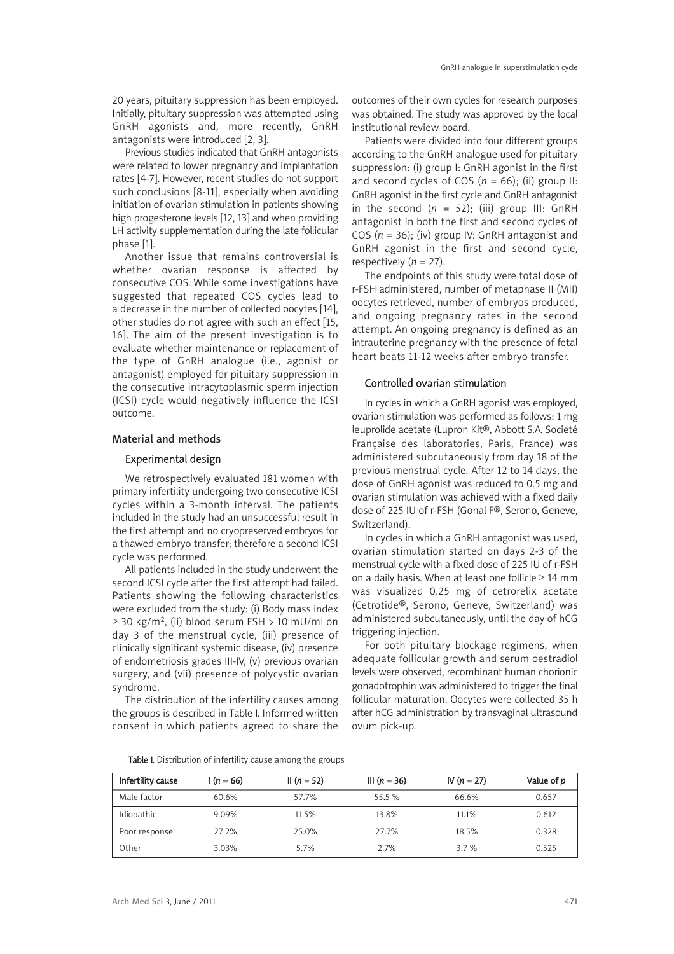20 years, pituitary suppression has been employed. Initially, pituitary suppression was attempted using GnRH agonists and, more recently, GnRH antagonists were introduced [2, 3].

Previous studies indicated that GnRH antagonists were related to lower pregnancy and implantation rates [4-7]. However, recent studies do not support such conclusions [8-11], especially when avoiding initiation of ovarian stimulation in patients showing high progesterone levels [12, 13] and when providing LH activity supplementation during the late follicular phase [1].

Another issue that remains controversial is whether ovarian response is affected by consecutive COS. While some investigations have suggested that repeated COS cycles lead to a decrease in the number of collected oocytes [14], other studies do not agree with such an effect [15, 16]. The aim of the present investigation is to evaluate whether maintenance or replacement of the type of GnRH analogue (i.e., agonist or antagonist) employed for pituitary suppression in the consecutive intracytoplasmic sperm injection (ICSI) cycle would negatively influence the ICSI outcome.

# Material and methods

# Experimental design

We retrospectively evaluated 181 women with primary infertility undergoing two consecutive ICSI cycles within a 3-month interval. The patients included in the study had an unsuccessful result in the first attempt and no cryopreserved embryos for a thawed embryo transfer; therefore a second ICSI cycle was performed.

All patients included in the study underwent the second ICSI cycle after the first attempt had failed. Patients showing the following characteristics were excluded from the study: (i) Body mass index ≥ 30 kg/m<sup>2</sup>, (ii) blood serum FSH > 10 mU/ml on day 3 of the menstrual cycle, (iii) presence of clinically significant systemic disease, (iv) presence of endometriosis grades III-IV, (v) previous ovarian surgery, and (vii) presence of polycystic ovarian syndrome.

The distribution of the infertility causes among the groups is described in Table I. Informed written consent in which patients agreed to share the outcomes of their own cycles for research purposes was obtained. The study was approved by the local institutional review board.

Patients were divided into four different groups according to the GnRH analogue used for pituitary suppression: (i) group I: GnRH agonist in the first and second cycles of COS  $(n = 66)$ ; (ii) group II: GnRH agonist in the first cycle and GnRH antagonist in the second  $(n = 52)$ ; (iii) group III: GnRH antagonist in both the first and second cycles of COS (*n* = 36); (iv) group IV: GnRH antagonist and GnRH agonist in the first and second cycle, respectively  $(n = 27)$ .

The endpoints of this study were total dose of r-FSH administered, number of metaphase II (MII) oocytes retrieved, number of embryos produced, and ongoing pregnancy rates in the second attempt. An ongoing pregnancy is defined as an intrauterine pregnancy with the presence of fetal heart beats 11-12 weeks after embryo transfer.

#### Controlled ovarian stimulation

In cycles in which a GnRH agonist was employed, ovarian stimulation was performed as follows: 1 mg leuprolide acetate (Lupron Kit®, Abbott S.A. Societé Française des laboratories, Paris, France) was administered subcutaneously from day 18 of the previous menstrual cycle. After 12 to 14 days, the dose of GnRH agonist was reduced to 0.5 mg and ovarian stimulation was achieved with a fixed daily dose of 225 IU of r-FSH (Gonal F®, Serono, Geneve, Switzerland).

In cycles in which a GnRH antagonist was used, ovarian stimulation started on days 2-3 of the menstrual cycle with a fixed dose of 225 IU of r-FSH on a daily basis. When at least one follicle  $\geq$  14 mm was visualized 0.25 mg of cetrorelix acetate (Cetrotide®, Serono, Geneve, Switzerland) was administered subcutaneously, until the day of hCG triggering injection.

For both pituitary blockage regimens, when adequate follicular growth and serum oestradiol levels were observed, recombinant human chorionic gonadotrophin was administered to trigger the final follicular maturation. Oocytes were collected 35 h after hCG administration by transvaginal ultrasound ovum pick-up.

Table I. Distribution of infertility cause among the groups

| Infertility cause | $(n = 66)$ | II $(n = 52)$ | III $(n = 36)$ | $N(n = 27)$ | Value of p |
|-------------------|------------|---------------|----------------|-------------|------------|
| Male factor       | 60.6%      | 57.7%         | 55.5 %         | 66.6%       | 0.657      |
| Idiopathic        | 9.09%      | 11.5%         | 13.8%          | 11.1%       | 0.612      |
| Poor response     | 27.2%      | 25.0%         | 27.7%          | 18.5%       | 0.328      |
| Other             | 3.03%      | 5.7%          | 2.7%           | 3.7%        | 0.525      |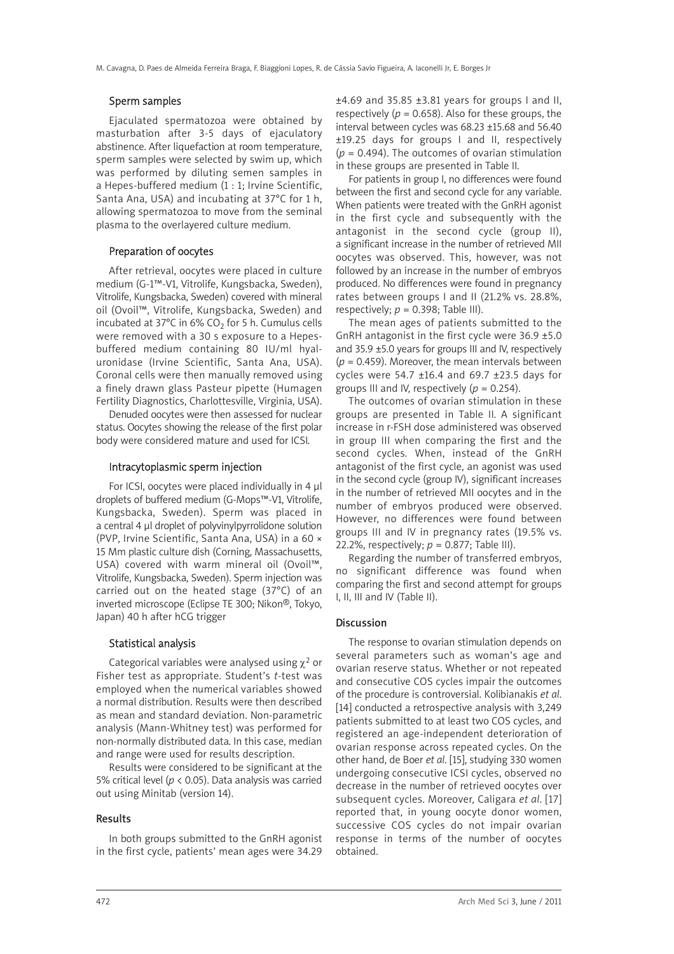## Sperm samples

Ejaculated spermatozoa were obtained by masturbation after 3-5 days of ejaculatory abstinence. After liquefaction at room temperature, sperm samples were selected by swim up, which was performed by diluting semen samples in a Hepes-buffered medium (1 : 1; Irvine Scientific, Santa Ana, USA) and incubating at 37°C for 1 h, allowing spermatozoa to move from the seminal plasma to the overlayered culture medium.

# Preparation of oocytes

After retrieval, oocytes were placed in culture medium (G-1™-V1, Vitrolife, Kungsbacka, Sweden), Vitrolife, Kungsbacka, Sweden) covered with mineral oil (Ovoil™, Vitrolife, Kungsbacka, Sweden) and incubated at 37°C in 6% CO<sub>2</sub> for 5 h. Cumulus cells were removed with a 30 s exposure to a Hepesbuffered medium containing 80 IU/ml hyaluronidase (Irvine Scientific, Santa Ana, USA). Coronal cells were then manually removed using a finely drawn glass Pasteur pipette (Humagen Fertility Diagnostics, Charlottesville, Virginia, USA).

Denuded oocytes were then assessed for nuclear status. Oocytes showing the release of the first polar body were considered mature and used for ICSI.

# Intracytoplasmic sperm injection

For ICSI, oocytes were placed individually in 4 μl droplets of buffered medium (G-Mops™-V1, Vitrolife, Kungsbacka, Sweden). Sperm was placed in a central 4 μl droplet of polyvinylpyrrolidone solution (PVP, Irvine Scientific, Santa Ana, USA) in a 60 × 15 Mm plastic culture dish (Corning, Massachusetts, USA) covered with warm mineral oil (Ovoil™, Vitrolife, Kungsbacka, Sweden). Sperm injection was carried out on the heated stage (37°C) of an inverted microscope (Eclipse TE 300; Nikon®, Tokyo, Japan) 40 h after hCG trigger

# Statistical analysis

Categorical variables were analysed using  $\chi^2$  or Fisher test as appropriate. Student's *t*-test was employed when the numerical variables showed a normal distribution. Results were then described as mean and standard deviation. Non-parametric analysis (Mann-Whitney test) was performed for non-normally distributed data. In this case, median and range were used for results description.

Results were considered to be significant at the 5% critical level (*p* < 0.05). Data analysis was carried out using Minitab (version 14).

# Results

In both groups submitted to the GnRH agonist in the first cycle, patients' mean ages were 34.29

 $±4.69$  and 35.85  $±3.81$  years for groups I and II, respectively ( $p = 0.658$ ). Also for these groups, the interval between cycles was 68.23 ±15.68 and 56.40 ±19.25 days for groups I and II, respectively (*p* = 0.494). The outcomes of ovarian stimulation in these groups are presented in Table II.

For patients in group I, no differences were found between the first and second cycle for any variable. When patients were treated with the GnRH agonist in the first cycle and subsequently with the antagonist in the second cycle (group II), a significant increase in the number of retrieved MII oocytes was observed. This, however, was not followed by an increase in the number of embryos produced. No differences were found in pregnancy rates between groups I and II (21.2% vs. 28.8%, respectively;  $p = 0.398$ ; Table III).

The mean ages of patients submitted to the GnRH antagonist in the first cycle were 36.9 ±5.0 and 35.9 ±5.0 years for groups III and IV, respectively  $(p = 0.459)$ . Moreover, the mean intervals between cycles were 54.7 ±16.4 and 69.7 ±23.5 days for groups III and IV, respectively (*p* = 0.254).

The outcomes of ovarian stimulation in these groups are presented in Table II. A significant increase in r-FSH dose administered was observed in group III when comparing the first and the second cycles. When, instead of the GnRH antagonist of the first cycle, an agonist was used in the second cycle (group IV), significant increases in the number of retrieved MII oocytes and in the number of embryos produced were observed. However, no differences were found between groups III and IV in pregnancy rates (19.5% vs. 22.2%, respectively;  $p = 0.877$ ; Table III).

Regarding the number of transferred embryos, no significant difference was found when comparing the first and second attempt for groups I, II, III and IV (Table II).

#### **Discussion**

The response to ovarian stimulation depends on several parameters such as woman's age and ovarian reserve status. Whether or not repeated and consecutive COS cycles impair the outcomes of the procedure is controversial. Kolibianakis *et al*. [14] conducted a retrospective analysis with 3,249 patients submitted to at least two COS cycles, and registered an age-independent deterioration of ovarian response across repeated cycles. On the other hand, de Boer *et al*. [15], studying 330 women undergoing consecutive ICSI cycles, observed no decrease in the number of retrieved oocytes over subsequent cycles. Moreover, Caligara *et al*. [17] reported that, in young oocyte donor women, successive COS cycles do not impair ovarian response in terms of the number of oocytes obtained.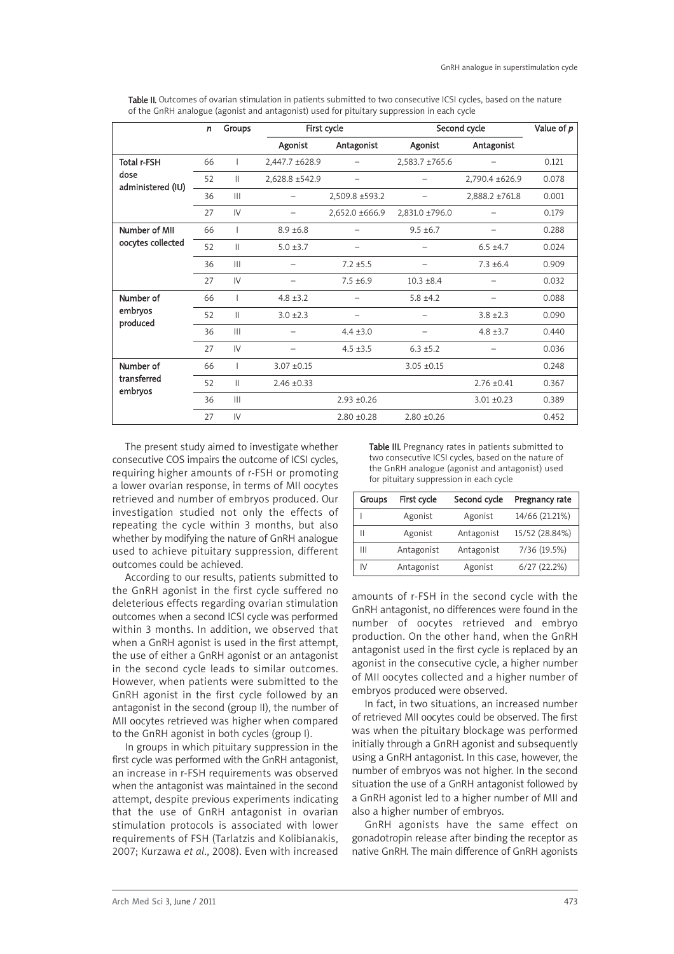| Table II. Outcomes of ovarian stimulation in patients submitted to two consecutive ICSI cycles, based on the nature |  |
|---------------------------------------------------------------------------------------------------------------------|--|
| of the GnRH analogue (agonist and antagonist) used for pituitary suppression in each cycle                          |  |

|                                          | n  | Groups                 | First cycle     |                          | Second cycle    |                 | Value of p |
|------------------------------------------|----|------------------------|-----------------|--------------------------|-----------------|-----------------|------------|
|                                          |    |                        | Agonist         | Antagonist               | Agonist         | Antagonist      |            |
| Total r-FSH<br>dose<br>administered (IU) | 66 |                        | 2,447.7 ±628.9  |                          | 2,583.7 ±765.6  |                 | 0.121      |
|                                          | 52 | Ш                      | 2,628.8 ±542.9  | $\overline{\phantom{0}}$ |                 | 2,790.4 ±626.9  | 0.078      |
|                                          | 36 | $\mathbf{III}$         |                 | 2,509.8 ±593.2           |                 | 2,888.2 ±761.8  | 0.001      |
|                                          | 27 | $\mathsf{I}\mathsf{V}$ |                 | 2,652.0 ±666.9           | 2,831.0 ±796.0  |                 | 0.179      |
| Number of MII                            | 66 |                        | $8.9 \pm 6.8$   |                          | $9.5 \pm 6.7$   |                 | 0.288      |
| oocytes collected                        | 52 | Ш                      | $5.0 \pm 3.7$   |                          |                 | $6.5 \pm 4.7$   | 0.024      |
|                                          | 36 | $\mathbb{H}$           |                 | $7.2 \pm 5.5$            |                 | $7.3 \pm 6.4$   | 0.909      |
|                                          | 27 | IV                     |                 | $7.5 \pm 6.9$            | $10.3 \pm 8.4$  |                 | 0.032      |
| Number of<br>embryos<br>produced         | 66 |                        | $4.8 \pm 3.2$   |                          | $5.8 \pm 4.2$   |                 | 0.088      |
|                                          | 52 | $\mathbf{H}$           | $3.0 \pm 2.3$   | -                        |                 | $3.8 \pm 2.3$   | 0.090      |
|                                          | 36 | $\mathbf{III}$         |                 | $4.4 \pm 3.0$            |                 | $4.8 \pm 3.7$   | 0.440      |
|                                          | 27 | $\mathsf{I}\mathsf{V}$ |                 | $4.5 \pm 3.5$            | $6.3 \pm 5.2$   |                 | 0.036      |
| Number of                                | 66 |                        | $3.07 + 0.15$   |                          | $3.05 \pm 0.15$ |                 | 0.248      |
| transferred<br>embryos                   | 52 | Ш                      | $2.46 \pm 0.33$ |                          |                 | $2.76 \pm 0.41$ | 0.367      |
|                                          | 36 | $\mathbb{H}$           |                 | $2.93 + 0.26$            |                 | $3.01 \pm 0.23$ | 0.389      |
|                                          | 27 | $\mathsf{I}\mathsf{V}$ |                 | $2.80 + 0.28$            | $2.80 \pm 0.26$ |                 | 0.452      |

The present study aimed to investigate whether consecutive COS impairs the outcome of ICSI cycles, requiring higher amounts of r-FSH or promoting a lower ovarian response, in terms of MII oocytes retrieved and number of embryos produced. Our investigation studied not only the effects of repeating the cycle within 3 months, but also whether by modifying the nature of GnRH analogue used to achieve pituitary suppression, different outcomes could be achieved.

According to our results, patients submitted to the GnRH agonist in the first cycle suffered no deleterious effects regarding ovarian stimulation outcomes when a second ICSI cycle was performed within 3 months. In addition, we observed that when a GnRH agonist is used in the first attempt, the use of either a GnRH agonist or an antagonist in the second cycle leads to similar outcomes. However, when patients were submitted to the GnRH agonist in the first cycle followed by an antagonist in the second (group II), the number of MII oocytes retrieved was higher when compared to the GnRH agonist in both cycles (group I).

In groups in which pituitary suppression in the first cycle was performed with the GnRH antagonist, an increase in r-FSH requirements was observed when the antagonist was maintained in the second attempt, despite previous experiments indicating that the use of GnRH antagonist in ovarian stimulation protocols is associated with lower requirements of FSH (Tarlatzis and Kolibianakis, 2007; Kurzawa *et al*., 2008). Even with increased Table III. Pregnancy rates in patients submitted to two consecutive ICSI cycles, based on the nature of the GnRH analogue (agonist and antagonist) used for pituitary suppression in each cycle

| Groups | First cycle | Second cycle | Pregnancy rate |
|--------|-------------|--------------|----------------|
|        | Agonist     | Agonist      | 14/66 (21.21%) |
| Ш      | Agonist     | Antagonist   | 15/52 (28.84%) |
| Ш      | Antagonist  | Antagonist   | 7/36 (19.5%)   |
| IV     | Antagonist  | Agonist      | 6/27(22.2%)    |

amounts of r-FSH in the second cycle with the GnRH antagonist, no differences were found in the number of oocytes retrieved and embryo production. On the other hand, when the GnRH antagonist used in the first cycle is replaced by an agonist in the consecutive cycle, a higher number of MII oocytes collected and a higher number of embryos produced were observed.

In fact, in two situations, an increased number of retrieved MII oocytes could be observed. The first was when the pituitary blockage was performed initially through a GnRH agonist and subsequently using a GnRH antagonist. In this case, however, the number of embryos was not higher. In the second situation the use of a GnRH antagonist followed by a GnRH agonist led to a higher number of MII and also a higher number of embryos.

GnRH agonists have the same effect on gonadotropin release after binding the receptor as native GnRH. The main difference of GnRH agonists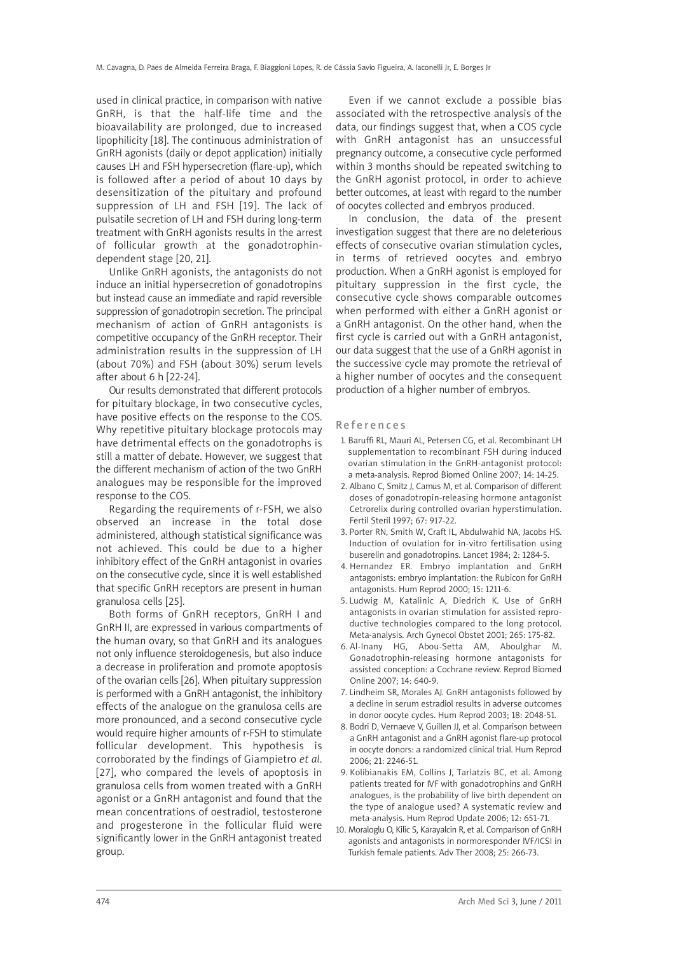used in clinical practice, in comparison with native GnRH, is that the half-life time and the bioavailability are prolonged, due to increased lipophilicity [18]. The continuous administration of GnRH agonists (daily or depot application) initially causes LH and FSH hypersecretion (flare-up), which is followed after a period of about 10 days by desensitization of the pituitary and profound suppression of LH and FSH [19]. The lack of pulsatile secretion of LH and FSH during long-term treatment with GnRH agonists results in the arrest of follicular growth at the gonadotrophindependent stage [20, 21].

Unlike GnRH agonists, the antagonists do not induce an initial hypersecretion of gonadotropins but instead cause an immediate and rapid reversible suppression of gonadotropin secretion. The principal mechanism of action of GnRH antagonists is competitive occupancy of the GnRH receptor. Their administration results in the suppression of LH (about 70%) and FSH (about 30%) serum levels after about 6 h [22-24].

Our results demonstrated that different protocols for pituitary blockage, in two consecutive cycles, have positive effects on the response to the COS. Why repetitive pituitary blockage protocols may have detrimental effects on the gonadotrophs is still a matter of debate. However, we suggest that the different mechanism of action of the two GnRH analogues may be responsible for the improved response to the COS.

Regarding the requirements of r-FSH, we also observed an increase in the total dose administered, although statistical significance was not achieved. This could be due to a higher inhibitory effect of the GnRH antagonist in ovaries on the consecutive cycle, since it is well established that specific GnRH receptors are present in human granulosa cells [25].

Both forms of GnRH receptors, GnRH I and GnRH II, are expressed in various compartments of the human ovary, so that GnRH and its analogues not only influence steroidogenesis, but also induce a decrease in proliferation and promote apoptosis of the ovarian cells [26]. When pituitary suppression is performed with a GnRH antagonist, the inhibitory effects of the analogue on the granulosa cells are more pronounced, and a second consecutive cycle would require higher amounts of r-FSH to stimulate follicular development. This hypothesis is corroborated by the findings of Giampietro *et al*. [27], who compared the levels of apoptosis in granulosa cells from women treated with a GnRH agonist or a GnRH antagonist and found that the mean concentrations of oestradiol, testosterone and progesterone in the follicular fluid were significantly lower in the GnRH antagonist treated group.

Even if we cannot exclude a possible bias associated with the retrospective analysis of the data, our findings suggest that, when a COS cycle with GnRH antagonist has an unsuccessful pregnancy outcome, a consecutive cycle performed within 3 months should be repeated switching to the GnRH agonist protocol, in order to achieve better outcomes, at least with regard to the number of oocytes collected and embryos produced.

In conclusion, the data of the present investigation suggest that there are no deleterious effects of consecutive ovarian stimulation cycles, in terms of retrieved oocytes and embryo production. When a GnRH agonist is employed for pituitary suppression in the first cycle, the consecutive cycle shows comparable outcomes when performed with either a GnRH agonist or a GnRH antagonist. On the other hand, when the first cycle is carried out with a GnRH antagonist, our data suggest that the use of a GnRH agonist in the successive cycle may promote the retrieval of a higher number of oocytes and the consequent production of a higher number of embryos.

#### References

- 1. Baruffi RL, Mauri AL, Petersen CG, et al. Recombinant LH supplementation to recombinant FSH during induced ovarian stimulation in the GnRH-antagonist protocol: a meta-analysis. Reprod Biomed Online 2007; 14: 14-25.
- 2. Albano C, Smitz J, Camus M, et al. Comparison of different doses of gonadotropin-releasing hormone antagonist Cetrorelix during controlled ovarian hyperstimulation. Fertil Steril 1997; 67: 917-22.
- 3. Porter RN, Smith W, Craft IL, Abdulwahid NA, Jacobs HS. Induction of ovulation for in-vitro fertilisation using buserelin and gonadotropins. Lancet 1984; 2: 1284-5.
- 4. Hernandez ER. Embryo implantation and GnRH antagonists: embryo implantation: the Rubicon for GnRH antagonists. Hum Reprod 2000; 15: 1211-6.
- 5. Ludwig M, Katalinic A, Diedrich K. Use of GnRH antagonists in ovarian stimulation for assisted reproductive technologies compared to the long protocol. Meta-analysis. Arch Gynecol Obstet 2001; 265: 175-82.
- 6. Al-Inany HG, Abou-Setta AM, Aboulghar M. Gonadotrophin-releasing hormone antagonists for assisted conception: a Cochrane review. Reprod Biomed Online 2007; 14: 640-9.
- 7. Lindheim SR, Morales AJ. GnRH antagonists followed by a decline in serum estradiol results in adverse outcomes in donor oocyte cycles. Hum Reprod 2003; 18: 2048-51.
- 8. Bodri D, Vernaeve V, Guillen JJ, et al. Comparison between a GnRH antagonist and a GnRH agonist flare-up protocol in oocyte donors: a randomized clinical trial. Hum Reprod 2006; 21: 2246-51.
- 9. Kolibianakis EM, Collins J, Tarlatzis BC, et al. Among patients treated for IVF with gonadotrophins and GnRH analogues, is the probability of live birth dependent on the type of analogue used? A systematic review and meta-analysis. Hum Reprod Update 2006; 12: 651-71.
- 10. Moraloglu O, Kilic S, Karayalcin R, et al. Comparison of GnRH agonists and antagonists in normoresponder IVF/ICSI in Turkish female patients. Adv Ther 2008; 25: 266-73.